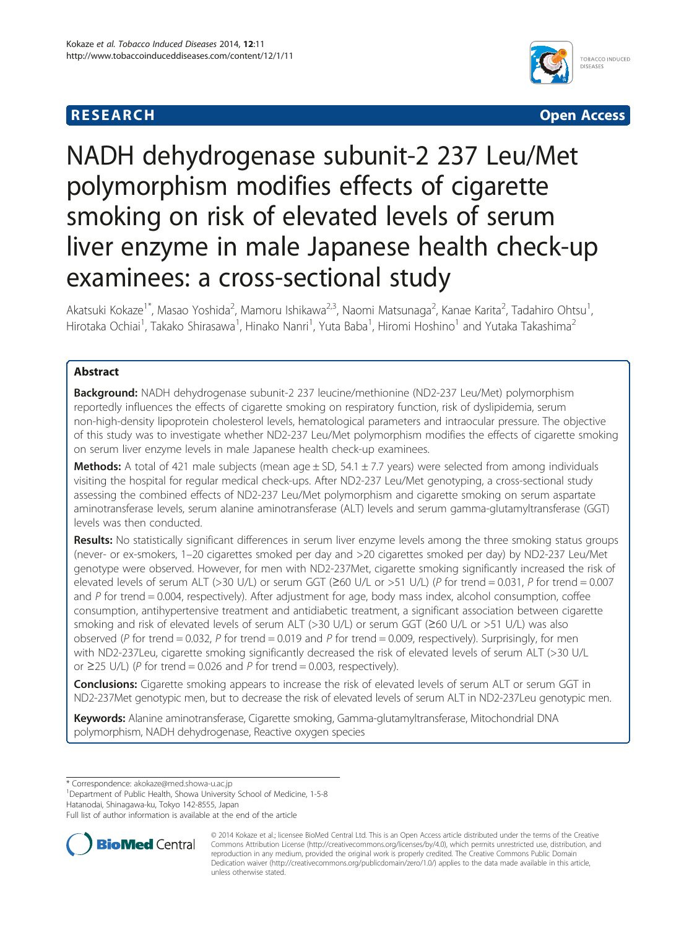## **RESEARCH CHEAR CHEAR CHEAR CHEAR CHEAR CHEAR CHEAR CHEAR CHEAR CHEAR CHEAR CHEAR CHEAR CHEAR CHEAR CHEAR CHEAR**



# NADH dehydrogenase subunit-2 237 Leu/Met polymorphism modifies effects of cigarette smoking on risk of elevated levels of serum liver enzyme in male Japanese health check-up examinees: a cross-sectional study

Akatsuki Kokaze<sup>1\*</sup>, Masao Yoshida<sup>2</sup>, Mamoru Ishikawa<sup>2,3</sup>, Naomi Matsunaga<sup>2</sup>, Kanae Karita<sup>2</sup>, Tadahiro Ohtsu<sup>1</sup> , Hirotaka Ochiai<sup>1</sup>, Takako Shirasawa<sup>1</sup>, Hinako Nanri<sup>1</sup>, Yuta Baba<sup>1</sup>, Hiromi Hoshino<sup>1</sup> and Yutaka Takashima<sup>2</sup>

## Abstract

**Background:** NADH dehydrogenase subunit-2 237 leucine/methionine (ND2-237 Leu/Met) polymorphism reportedly influences the effects of cigarette smoking on respiratory function, risk of dyslipidemia, serum non-high-density lipoprotein cholesterol levels, hematological parameters and intraocular pressure. The objective of this study was to investigate whether ND2-237 Leu/Met polymorphism modifies the effects of cigarette smoking on serum liver enzyme levels in male Japanese health check-up examinees.

**Methods:** A total of 421 male subjects (mean age  $\pm$  SD, 54.1  $\pm$  7.7 years) were selected from among individuals visiting the hospital for regular medical check-ups. After ND2-237 Leu/Met genotyping, a cross-sectional study assessing the combined effects of ND2-237 Leu/Met polymorphism and cigarette smoking on serum aspartate aminotransferase levels, serum alanine aminotransferase (ALT) levels and serum gamma-glutamyltransferase (GGT) levels was then conducted.

Results: No statistically significant differences in serum liver enzyme levels among the three smoking status groups (never- or ex-smokers, 1–20 cigarettes smoked per day and >20 cigarettes smoked per day) by ND2-237 Leu/Met genotype were observed. However, for men with ND2-237Met, cigarette smoking significantly increased the risk of elevated levels of serum ALT (>30 U/L) or serum GGT ( $\geq$ 60 U/L or >51 U/L) (P for trend = 0.031, P for trend = 0.007 and P for trend = 0.004, respectively). After adjustment for age, body mass index, alcohol consumption, coffee consumption, antihypertensive treatment and antidiabetic treatment, a significant association between cigarette smoking and risk of elevated levels of serum ALT (>30 U/L) or serum GGT (≥60 U/L or >51 U/L) was also observed (P for trend = 0.032, P for trend = 0.019 and P for trend = 0.009, respectively). Surprisingly, for men with ND2-237Leu, cigarette smoking significantly decreased the risk of elevated levels of serum ALT (>30 U/L or ≥25 U/L) (P for trend = 0.026 and P for trend = 0.003, respectively).

Conclusions: Cigarette smoking appears to increase the risk of elevated levels of serum ALT or serum GGT in ND2-237Met genotypic men, but to decrease the risk of elevated levels of serum ALT in ND2-237Leu genotypic men.

Keywords: Alanine aminotransferase, Cigarette smoking, Gamma-glutamyltransferase, Mitochondrial DNA polymorphism, NADH dehydrogenase, Reactive oxygen species

\* Correspondence: [akokaze@med.showa-u.ac.jp](mailto:akokaze@med.showa-u.ac.jp) <sup>1</sup>

<sup>1</sup>Department of Public Health, Showa University School of Medicine, 1-5-8

Hatanodai, Shinagawa-ku, Tokyo 142-8555, Japan

Full list of author information is available at the end of the article



© 2014 Kokaze et al.; licensee BioMed Central Ltd. This is an Open Access article distributed under the terms of the Creative Commons Attribution License [\(http://creativecommons.org/licenses/by/4.0\)](http://creativecommons.org/licenses/by/4.0), which permits unrestricted use, distribution, and reproduction in any medium, provided the original work is properly credited. The Creative Commons Public Domain Dedication waiver [\(http://creativecommons.org/publicdomain/zero/1.0/](http://creativecommons.org/publicdomain/zero/1.0/)) applies to the data made available in this article, unless otherwise stated.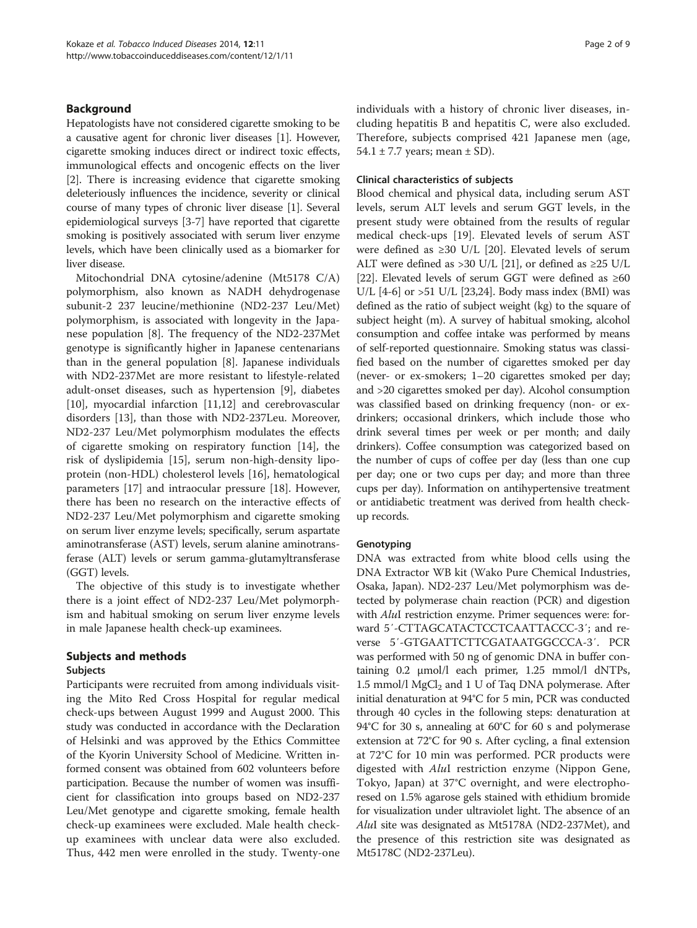## Background

Hepatologists have not considered cigarette smoking to be a causative agent for chronic liver diseases [\[1](#page-7-0)]. However, cigarette smoking induces direct or indirect toxic effects, immunological effects and oncogenic effects on the liver [[2\]](#page-7-0). There is increasing evidence that cigarette smoking deleteriously influences the incidence, severity or clinical course of many types of chronic liver disease [\[1](#page-7-0)]. Several epidemiological surveys [[3-7\]](#page-7-0) have reported that cigarette smoking is positively associated with serum liver enzyme levels, which have been clinically used as a biomarker for liver disease.

Mitochondrial DNA cytosine/adenine (Mt5178 C/A) polymorphism, also known as NADH dehydrogenase subunit-2 237 leucine/methionine (ND2-237 Leu/Met) polymorphism, is associated with longevity in the Japanese population [[8](#page-7-0)]. The frequency of the ND2-237Met genotype is significantly higher in Japanese centenarians than in the general population [\[8\]](#page-7-0). Japanese individuals with ND2-237Met are more resistant to lifestyle-related adult-onset diseases, such as hypertension [[9\]](#page-7-0), diabetes [[10\]](#page-7-0), myocardial infarction [\[11,12\]](#page-7-0) and cerebrovascular disorders [\[13\]](#page-7-0), than those with ND2-237Leu. Moreover, ND2-237 Leu/Met polymorphism modulates the effects of cigarette smoking on respiratory function [\[14](#page-7-0)], the risk of dyslipidemia [\[15](#page-7-0)], serum non-high-density lipoprotein (non-HDL) cholesterol levels [\[16](#page-7-0)], hematological parameters [[17\]](#page-7-0) and intraocular pressure [[18](#page-7-0)]. However, there has been no research on the interactive effects of ND2-237 Leu/Met polymorphism and cigarette smoking on serum liver enzyme levels; specifically, serum aspartate aminotransferase (AST) levels, serum alanine aminotransferase (ALT) levels or serum gamma-glutamyltransferase (GGT) levels.

The objective of this study is to investigate whether there is a joint effect of ND2-237 Leu/Met polymorphism and habitual smoking on serum liver enzyme levels in male Japanese health check-up examinees.

## Subjects and methods

## Subjects

Participants were recruited from among individuals visiting the Mito Red Cross Hospital for regular medical check-ups between August 1999 and August 2000. This study was conducted in accordance with the Declaration of Helsinki and was approved by the Ethics Committee of the Kyorin University School of Medicine. Written informed consent was obtained from 602 volunteers before participation. Because the number of women was insufficient for classification into groups based on ND2-237 Leu/Met genotype and cigarette smoking, female health check-up examinees were excluded. Male health checkup examinees with unclear data were also excluded. Thus, 442 men were enrolled in the study. Twenty-one individuals with a history of chronic liver diseases, including hepatitis B and hepatitis C, were also excluded. Therefore, subjects comprised 421 Japanese men (age, 54.1  $\pm$  7.7 years; mean  $\pm$  SD).

## Clinical characteristics of subjects

Blood chemical and physical data, including serum AST levels, serum ALT levels and serum GGT levels, in the present study were obtained from the results of regular medical check-ups [[19](#page-7-0)]. Elevated levels of serum AST were defined as ≥30 U/L [\[20](#page-7-0)]. Elevated levels of serum ALT were defined as >30 U/L [\[21](#page-7-0)], or defined as  $\geq$ 25 U/L [[22](#page-7-0)]. Elevated levels of serum GGT were defined as  $\geq 60$ U/L  $[4-6]$  $[4-6]$  or >51 U/L  $[23,24]$  $[23,24]$  $[23,24]$ . Body mass index (BMI) was defined as the ratio of subject weight (kg) to the square of subject height (m). A survey of habitual smoking, alcohol consumption and coffee intake was performed by means of self-reported questionnaire. Smoking status was classified based on the number of cigarettes smoked per day (never- or ex-smokers; 1–20 cigarettes smoked per day; and >20 cigarettes smoked per day). Alcohol consumption was classified based on drinking frequency (non- or exdrinkers; occasional drinkers, which include those who drink several times per week or per month; and daily drinkers). Coffee consumption was categorized based on the number of cups of coffee per day (less than one cup per day; one or two cups per day; and more than three cups per day). Information on antihypertensive treatment or antidiabetic treatment was derived from health checkup records.

## **Genotyping**

DNA was extracted from white blood cells using the DNA Extractor WB kit (Wako Pure Chemical Industries, Osaka, Japan). ND2-237 Leu/Met polymorphism was detected by polymerase chain reaction (PCR) and digestion with *AluI* restriction enzyme. Primer sequences were: forward 5′-CTTAGCATACTCCTCAATTACCC-3′; and reverse 5′-GTGAATTCTTCGATAATGGCCCA-3′. PCR was performed with 50 ng of genomic DNA in buffer containing 0.2 μmol/l each primer, 1.25 mmol/l dNTPs, 1.5 mmol/l  $MgCl<sub>2</sub>$  and 1 U of Taq DNA polymerase. After initial denaturation at 94°C for 5 min, PCR was conducted through 40 cycles in the following steps: denaturation at 94°C for 30 s, annealing at 60°C for 60 s and polymerase extension at 72°C for 90 s. After cycling, a final extension at 72°C for 10 min was performed. PCR products were digested with AluI restriction enzyme (Nippon Gene, Tokyo, Japan) at 37°C overnight, and were electrophoresed on 1.5% agarose gels stained with ethidium bromide for visualization under ultraviolet light. The absence of an AluI site was designated as Mt5178A (ND2-237Met), and the presence of this restriction site was designated as Mt5178C (ND2-237Leu).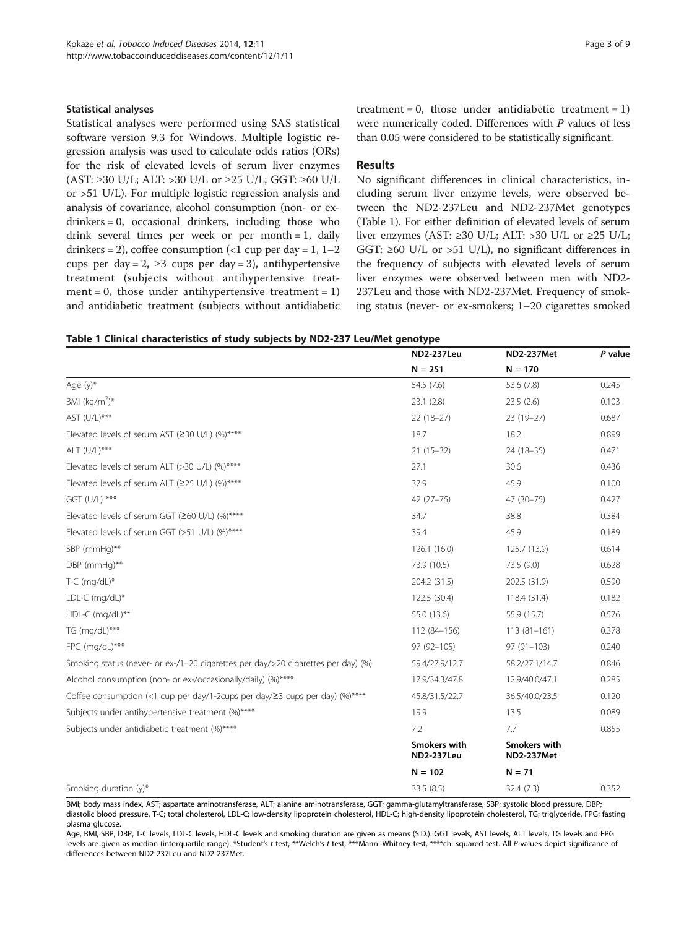### Statistical analyses

Statistical analyses were performed using SAS statistical software version 9.3 for Windows. Multiple logistic regression analysis was used to calculate odds ratios (ORs) for the risk of elevated levels of serum liver enzymes (AST: ≥30 U/L; ALT: >30 U/L or ≥25 U/L; GGT: ≥60 U/L or >51 U/L). For multiple logistic regression analysis and analysis of covariance, alcohol consumption (non- or exdrinkers = 0, occasional drinkers, including those who drink several times per week or per month = 1, daily drinkers = 2), coffee consumption  $\left($  < 1 cup per day = 1, 1–2 cups per day = 2,  $\geq$ 3 cups per day = 3), antihypertensive treatment (subjects without antihypertensive treatment = 0, those under antihypertensive treatment =  $1$ ) and antidiabetic treatment (subjects without antidiabetic treatment =  $0$ , those under antidiabetic treatment =  $1$ ) were numerically coded. Differences with P values of less than 0.05 were considered to be statistically significant.

## Results

No significant differences in clinical characteristics, including serum liver enzyme levels, were observed between the ND2-237Leu and ND2-237Met genotypes (Table 1). For either definition of elevated levels of serum liver enzymes (AST: ≥30 U/L; ALT: >30 U/L or ≥25 U/L; GGT:  $\geq 60$  U/L or  $> 51$  U/L), no significant differences in the frequency of subjects with elevated levels of serum liver enzymes were observed between men with ND2- 237Leu and those with ND2-237Met. Frequency of smoking status (never- or ex-smokers; 1–20 cigarettes smoked

|  | Table 1 Clinical characteristics of study subjects by ND2-237 Leu/Met genotype |  |  |  |  |
|--|--------------------------------------------------------------------------------|--|--|--|--|
|  |                                                                                |  |  |  |  |

|                                                                                   | <b>ND2-237Leu</b>                 | <b>ND2-237Met</b>                 | P value |
|-----------------------------------------------------------------------------------|-----------------------------------|-----------------------------------|---------|
|                                                                                   | $N = 251$                         | $N = 170$                         |         |
| Age $(y)^*$                                                                       | 54.5 (7.6)                        | 53.6 (7.8)                        | 0.245   |
| BMI $(kq/m^2)^*$                                                                  | 23.1(2.8)                         | 23.5(2.6)                         | 0.103   |
| AST (U/L)***                                                                      | $22(18-27)$                       | 23 (19-27)                        | 0.687   |
| Elevated levels of serum AST (≥30 U/L) (%)****                                    | 18.7                              | 18.2                              | 0.899   |
| ALT (U/L)***                                                                      | $21(15-32)$                       | 24 (18-35)                        | 0.471   |
| Elevated levels of serum ALT (>30 U/L) (%)****                                    | 27.1                              | 30.6                              | 0.436   |
| Elevated levels of serum ALT (≥25 U/L) (%)****                                    | 37.9                              | 45.9                              | 0.100   |
| GGT (U/L) ***                                                                     | $42(27 - 75)$                     | 47 (30-75)                        | 0.427   |
| Elevated levels of serum GGT (≥60 U/L) (%)****                                    | 34.7                              | 38.8                              | 0.384   |
| Elevated levels of serum GGT (>51 U/L) (%)****                                    | 39.4                              | 45.9                              | 0.189   |
| SBP (mmHq)**                                                                      | 126.1(16.0)                       | 125.7 (13.9)                      | 0.614   |
| DBP (mmHg)**                                                                      | 73.9 (10.5)                       | 73.5 (9.0)                        | 0.628   |
| $T-C$ (mg/dL)*                                                                    | 204.2 (31.5)                      | 202.5 (31.9)                      | 0.590   |
| LDL-C (mg/dL)*                                                                    | 122.5 (30.4)                      | 118.4 (31.4)                      | 0.182   |
| HDL-C (mg/dL)**                                                                   | 55.0 (13.6)                       | 55.9 (15.7)                       | 0.576   |
| TG (mg/dL)***                                                                     | 112 (84-156)                      | $113(81-161)$                     | 0.378   |
| FPG (mg/dL)***                                                                    | 97 (92-105)                       | $97(91 - 103)$                    | 0.240   |
| Smoking status (never- or ex-/1-20 cigarettes per day/>20 cigarettes per day) (%) | 59.4/27.9/12.7                    | 58.2/27.1/14.7                    | 0.846   |
| Alcohol consumption (non- or ex-/occasionally/daily) (%)****                      | 17.9/34.3/47.8                    | 12.9/40.0/47.1                    | 0.285   |
| Coffee consumption (<1 cup per day/1-2cups per day/23 cups per day) (%)****       | 45.8/31.5/22.7                    | 36.5/40.0/23.5                    | 0.120   |
| Subjects under antihypertensive treatment (%)****                                 | 19.9                              | 13.5                              | 0.089   |
| Subjects under antidiabetic treatment (%)****                                     | 7.2                               | 7.7                               | 0.855   |
|                                                                                   | Smokers with<br><b>ND2-237Leu</b> | Smokers with<br><b>ND2-237Met</b> |         |
|                                                                                   | $N = 102$                         | $N = 71$                          |         |
| Smoking duration $(y)^*$                                                          | 33.5 (8.5)                        | 32.4 (7.3)                        | 0.352   |

BMI; body mass index, AST; aspartate aminotransferase, ALT; alanine aminotransferase, GGT; gamma-glutamyltransferase, SBP; systolic blood pressure, DBP; diastolic blood pressure, T-C; total cholesterol, LDL-C; low-density lipoprotein cholesterol, HDL-C; high-density lipoprotein cholesterol, TG; triglyceride, FPG; fasting plasma glucose.

Age, BMI, SBP, DBP, T-C levels, LDL-C levels, HDL-C levels and smoking duration are given as means (S.D.). GGT levels, AST levels, ALT levels, TG levels and FPG levels are given as median (interquartile range). \*Student's t-test, \*\*\*Welch's t-test, \*\*\*\*Mann-Whitney test, \*\*\*\*chi-squared test. All P values depict significance of differences between ND2-237Leu and ND2-237Met.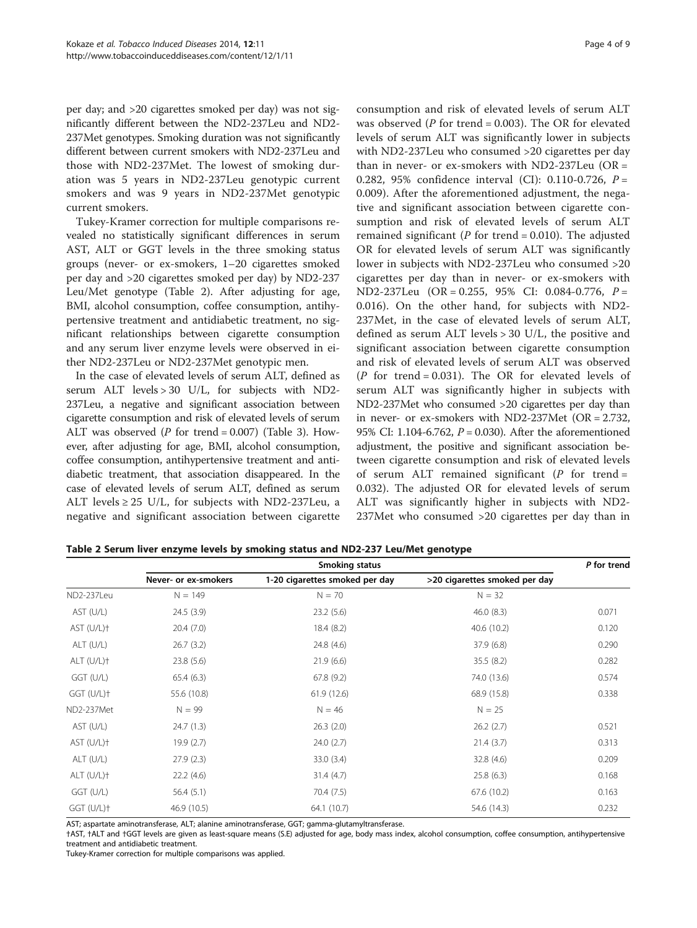per day; and >20 cigarettes smoked per day) was not significantly different between the ND2-237Leu and ND2- 237Met genotypes. Smoking duration was not significantly different between current smokers with ND2-237Leu and those with ND2-237Met. The lowest of smoking duration was 5 years in ND2-237Leu genotypic current smokers and was 9 years in ND2-237Met genotypic current smokers.

Tukey-Kramer correction for multiple comparisons revealed no statistically significant differences in serum AST, ALT or GGT levels in the three smoking status groups (never- or ex-smokers, 1–20 cigarettes smoked per day and >20 cigarettes smoked per day) by ND2-237 Leu/Met genotype (Table 2). After adjusting for age, BMI, alcohol consumption, coffee consumption, antihypertensive treatment and antidiabetic treatment, no significant relationships between cigarette consumption and any serum liver enzyme levels were observed in either ND2-237Leu or ND2-237Met genotypic men.

In the case of elevated levels of serum ALT, defined as serum ALT levels > 30 U/L, for subjects with ND2- 237Leu, a negative and significant association between cigarette consumption and risk of elevated levels of serum ALT was observed ( $P$  for trend = 0.007) (Table [3\)](#page-4-0). However, after adjusting for age, BMI, alcohol consumption, coffee consumption, antihypertensive treatment and antidiabetic treatment, that association disappeared. In the case of elevated levels of serum ALT, defined as serum ALT levels  $\geq$  25 U/L, for subjects with ND2-237Leu, a negative and significant association between cigarette

consumption and risk of elevated levels of serum ALT was observed ( $P$  for trend = 0.003). The OR for elevated levels of serum ALT was significantly lower in subjects with ND2-237Leu who consumed >20 cigarettes per day than in never- or ex-smokers with ND2-237Leu  $(OR =$ 0.282, 95% confidence interval (CI): 0.110-0.726,  $P =$ 0.009). After the aforementioned adjustment, the negative and significant association between cigarette consumption and risk of elevated levels of serum ALT remained significant ( $P$  for trend = 0.010). The adjusted OR for elevated levels of serum ALT was significantly lower in subjects with ND2-237Leu who consumed >20 cigarettes per day than in never- or ex-smokers with ND2-237Leu (OR = 0.255, 95% CI: 0.084-0.776, P = 0.016). On the other hand, for subjects with ND2- 237Met, in the case of elevated levels of serum ALT, defined as serum ALT levels > 30 U/L, the positive and significant association between cigarette consumption and risk of elevated levels of serum ALT was observed ( $P$  for trend = 0.031). The OR for elevated levels of serum ALT was significantly higher in subjects with ND2-237Met who consumed >20 cigarettes per day than in never- or ex-smokers with ND2-237Met (OR = 2.732, 95% CI: 1.104-6.762, P = 0.030). After the aforementioned adjustment, the positive and significant association between cigarette consumption and risk of elevated levels of serum ALT remained significant  $(P$  for trend = 0.032). The adjusted OR for elevated levels of serum ALT was significantly higher in subjects with ND2- 237Met who consumed >20 cigarettes per day than in

|               | Smoking status       |                                |                               | P for trend |
|---------------|----------------------|--------------------------------|-------------------------------|-------------|
|               | Never- or ex-smokers | 1-20 cigarettes smoked per day | >20 cigarettes smoked per day |             |
| ND2-237Leu    | $N = 149$            | $N = 70$                       | $N = 32$                      |             |
| AST (U/L)     | 24.5(3.9)            | 23.2(5.6)                      | 46.0(8.3)                     | 0.071       |
| $AST (U/L)$ † | 20.4(7.0)            | 18.4(8.2)                      | 40.6 (10.2)                   | 0.120       |
| ALT (U/L)     | 26.7(3.2)            | 24.8 (4.6)                     | 37.9(6.8)                     | 0.290       |
| ALT (U/L)+    | 23.8(5.6)            | 21.9(6.6)                      | 35.5(8.2)                     | 0.282       |
| GGT (U/L)     | 65.4(6.3)            | 67.8(9.2)                      | 74.0 (13.6)                   | 0.574       |
| $GGT (U/L)$ † | 55.6 (10.8)          | 61.9 (12.6)                    | 68.9 (15.8)                   | 0.338       |
| ND2-237Met    | $N = 99$             | $N = 46$                       | $N = 25$                      |             |
| AST (U/L)     | 24.7(1.3)            | 26.3(2.0)                      | 26.2(2.7)                     | 0.521       |
| $AST (U/L)$ † | 19.9(2.7)            | 24.0(2.7)                      | 21.4(3.7)                     | 0.313       |
| $ALT$ (U/L)   | 27.9(2.3)            | 33.0 (3.4)                     | 32.8(4.6)                     | 0.209       |
| ALT (U/L)+    | 22.2(4.6)            | 31.4(4.7)                      | 25.8(6.3)                     | 0.168       |
| GGT (U/L)     | 56.4(5.1)            | 70.4 (7.5)                     | 67.6 (10.2)                   | 0.163       |
| $GGT (U/L)$ † | 46.9 (10.5)          | 64.1 (10.7)                    | 54.6 (14.3)                   | 0.232       |

Table 2 Serum liver enzyme levels by smoking status and ND2-237 Leu/Met genotype

AST; aspartate aminotransferase, ALT; alanine aminotransferase, GGT; gamma-glutamyltransferase.

†AST, †ALT and †GGT levels are given as least-square means (S.E) adjusted for age, body mass index, alcohol consumption, coffee consumption, antihypertensive treatment and antidiabetic treatment.

Tukey-Kramer correction for multiple comparisons was applied.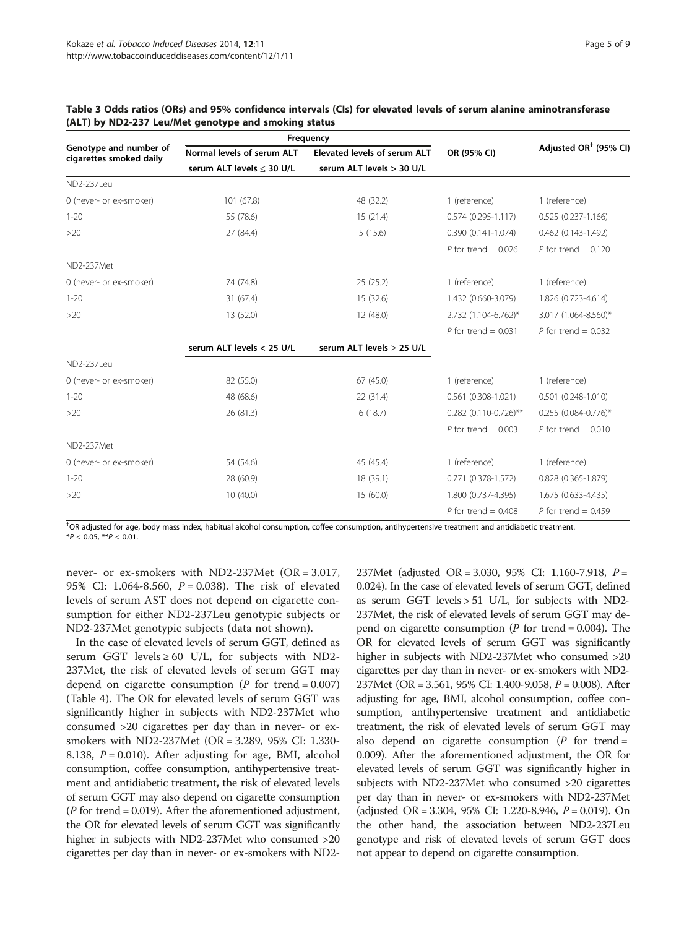|                                                   |                            | Frequency                      | OR (95% CI)             | Adjusted OR <sup><math>\dagger</math></sup> (95% CI) |
|---------------------------------------------------|----------------------------|--------------------------------|-------------------------|------------------------------------------------------|
| Genotype and number of<br>cigarettes smoked daily | Normal levels of serum ALT | Elevated levels of serum ALT   |                         |                                                      |
|                                                   | serum ALT levels < 30 U/L  | serum ALT levels > 30 U/L      |                         |                                                      |
| ND2-237Leu                                        |                            |                                |                         |                                                      |
| 0 (never- or ex-smoker)                           | 101 (67.8)                 | 48 (32.2)                      | 1 (reference)           | 1 (reference)                                        |
| $1 - 20$                                          | 55 (78.6)                  | 15(21.4)                       | $0.574(0.295 - 1.117)$  | $0.525(0.237 - 1.166)$                               |
| >20                                               | 27 (84.4)                  | 5(15.6)                        | $0.390(0.141-1.074)$    | $0.462$ (0.143-1.492)                                |
|                                                   |                            |                                | P for trend = $0.026$   | P for trend = $0.120$                                |
| ND2-237Met                                        |                            |                                |                         |                                                      |
| 0 (never- or ex-smoker)                           | 74 (74.8)                  | 25(25.2)                       | 1 (reference)           | 1 (reference)                                        |
| $1 - 20$                                          | 31 (67.4)                  | 15 (32.6)                      | 1.432 (0.660-3.079)     | 1.826 (0.723-4.614)                                  |
| $>20$                                             | 13 (52.0)                  | 12 (48.0)                      | 2.732 (1.104-6.762)*    | 3.017 (1.064-8.560)*                                 |
|                                                   |                            |                                | P for trend = $0.031$   | P for trend = $0.032$                                |
|                                                   | serum ALT levels < 25 U/L  | serum ALT levels $\geq$ 25 U/L |                         |                                                      |
| ND2-237Leu                                        |                            |                                |                         |                                                      |
| 0 (never- or ex-smoker)                           | 82 (55.0)                  | 67(45.0)                       | 1 (reference)           | 1 (reference)                                        |
| $1 - 20$                                          | 48 (68.6)                  | 22 (31.4)                      | $0.561(0.308-1.021)$    | $0.501$ $(0.248 - 1.010)$                            |
| >20                                               | 26 (81.3)                  | 6(18.7)                        | $0.282$ (0.110-0.726)** | $0.255$ (0.084-0.776)*                               |
|                                                   |                            |                                | P for trend = $0.003$   | P for trend = $0.010$                                |
| ND2-237Met                                        |                            |                                |                         |                                                      |
| 0 (never- or ex-smoker)                           | 54 (54.6)                  | 45 (45.4)                      | 1 (reference)           | 1 (reference)                                        |
| $1 - 20$                                          | 28 (60.9)                  | 18 (39.1)                      | 0.771 (0.378-1.572)     | 0.828 (0.365-1.879)                                  |
| >20                                               | 10(40.0)                   | 15 (60.0)                      | 1.800 (0.737-4.395)     | 1.675 (0.633-4.435)                                  |
|                                                   |                            |                                | P for trend = $0.408$   | P for trend = $0.459$                                |

## <span id="page-4-0"></span>Table 3 Odds ratios (ORs) and 95% confidence intervals (CIs) for elevated levels of serum alanine aminotransferase (ALT) by ND2-237 Leu/Met genotype and smoking status

† OR adjusted for age, body mass index, habitual alcohol consumption, coffee consumption, antihypertensive treatment and antidiabetic treatment.  $*P < 0.05$ ,  $*P < 0.01$ .

never- or ex-smokers with ND2-237Met (OR = 3.017, 95% CI: 1.064-8.560,  $P = 0.038$ ). The risk of elevated levels of serum AST does not depend on cigarette consumption for either ND2-237Leu genotypic subjects or ND2-237Met genotypic subjects (data not shown).

In the case of elevated levels of serum GGT, defined as serum GGT levels  $\geq 60$  U/L, for subjects with ND2-237Met, the risk of elevated levels of serum GGT may depend on cigarette consumption ( $P$  for trend = 0.007) (Table [4](#page-5-0)). The OR for elevated levels of serum GGT was significantly higher in subjects with ND2-237Met who consumed >20 cigarettes per day than in never- or exsmokers with ND2-237Met (OR = 3.289, 95% CI: 1.330- 8.138,  $P = 0.010$ ). After adjusting for age, BMI, alcohol consumption, coffee consumption, antihypertensive treatment and antidiabetic treatment, the risk of elevated levels of serum GGT may also depend on cigarette consumption  $(P \text{ for trend} = 0.019)$ . After the aforementioned adjustment, the OR for elevated levels of serum GGT was significantly higher in subjects with ND2-237Met who consumed >20 cigarettes per day than in never- or ex-smokers with ND2237Met (adjusted OR = 3.030, 95% CI: 1.160-7.918, P = 0.024). In the case of elevated levels of serum GGT, defined as serum GGT levels  $> 51$  U/L, for subjects with ND2-237Met, the risk of elevated levels of serum GGT may depend on cigarette consumption ( $P$  for trend = 0.004). The OR for elevated levels of serum GGT was significantly higher in subjects with ND2-237Met who consumed >20 cigarettes per day than in never- or ex-smokers with ND2- 237Met (OR = 3.561, 95% CI: 1.400-9.058, P = 0.008). After adjusting for age, BMI, alcohol consumption, coffee consumption, antihypertensive treatment and antidiabetic treatment, the risk of elevated levels of serum GGT may also depend on cigarette consumption  $(P \text{ for trend} =$ 0.009). After the aforementioned adjustment, the OR for elevated levels of serum GGT was significantly higher in subjects with ND2-237Met who consumed >20 cigarettes per day than in never- or ex-smokers with ND2-237Met (adjusted OR = 3.304, 95% CI: 1.220-8.946, P = 0.019). On the other hand, the association between ND2-237Leu genotype and risk of elevated levels of serum GGT does not appear to depend on cigarette consumption.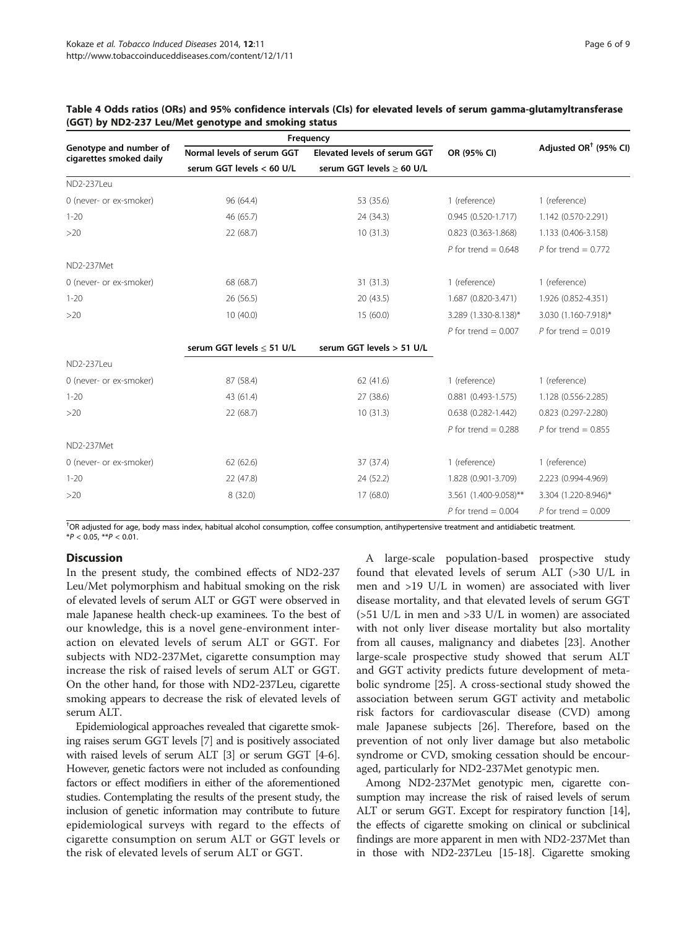|                                                   |                                | Frequency                    | OR (95% CI)            | Adjusted OR <sup><math>\dagger</math></sup> (95% CI) |
|---------------------------------------------------|--------------------------------|------------------------------|------------------------|------------------------------------------------------|
| Genotype and number of<br>cigarettes smoked daily | Normal levels of serum GGT     | Elevated levels of serum GGT |                        |                                                      |
|                                                   | serum GGT levels < 60 U/L      | serum GGT levels > 60 U/L    |                        |                                                      |
| ND2-2371 eu                                       |                                |                              |                        |                                                      |
| 0 (never- or ex-smoker)                           | 96 (64.4)                      | 53 (35.6)                    | 1 (reference)          | 1 (reference)                                        |
| $1 - 20$                                          | 46 (65.7)                      | 24 (34.3)                    | $0.945(0.520-1.717)$   | 1.142 (0.570-2.291)                                  |
| $>20$                                             | 22 (68.7)                      | 10(31.3)                     | 0.823 (0.363-1.868)    | 1.133 (0.406-3.158)                                  |
|                                                   |                                |                              | P for trend = $0.648$  | P for trend = $0.772$                                |
| ND2-237Met                                        |                                |                              |                        |                                                      |
| 0 (never- or ex-smoker)                           | 68 (68.7)                      | 31(31.3)                     | 1 (reference)          | 1 (reference)                                        |
| $1 - 20$                                          | 26 (56.5)                      | 20(43.5)                     | 1.687 (0.820-3.471)    | 1.926 (0.852-4.351)                                  |
| $>20$                                             | 10(40.0)                       | 15(60.0)                     | 3.289 (1.330-8.138)*   | 3.030 (1.160-7.918)*                                 |
|                                                   |                                |                              | P for trend = $0.007$  | P for trend = $0.019$                                |
|                                                   | serum GGT levels $\leq$ 51 U/L | serum GGT levels > 51 U/L    |                        |                                                      |
| ND2-237Leu                                        |                                |                              |                        |                                                      |
| 0 (never- or ex-smoker)                           | 87 (58.4)                      | 62 (41.6)                    | 1 (reference)          | 1 (reference)                                        |
| $1 - 20$                                          | 43 (61.4)                      | 27 (38.6)                    | $0.881$ (0.493-1.575)  | 1.128 (0.556-2.285)                                  |
| $>20$                                             | 22 (68.7)                      | 10(31.3)                     | $0.638(0.282 - 1.442)$ | $0.823$ $(0.297 - 2.280)$                            |
|                                                   |                                |                              | P for trend = $0.288$  | P for trend = $0.855$                                |
| ND2-237Met                                        |                                |                              |                        |                                                      |
| 0 (never- or ex-smoker)                           | 62(62.6)                       | 37 (37.4)                    | 1 (reference)          | 1 (reference)                                        |
| $1 - 20$                                          | 22 (47.8)                      | 24 (52.2)                    | 1.828 (0.901-3.709)    | 2.223 (0.994-4.969)                                  |
| >20                                               | 8(32.0)                        | 17(68.0)                     | 3.561 (1.400-9.058)**  | 3.304 (1.220-8.946)*                                 |
|                                                   |                                |                              | P for trend = $0.004$  | P for trend = $0.009$                                |

## <span id="page-5-0"></span>Table 4 Odds ratios (ORs) and 95% confidence intervals (CIs) for elevated levels of serum gamma-glutamyltransferase (GGT) by ND2-237 Leu/Met genotype and smoking status

† OR adjusted for age, body mass index, habitual alcohol consumption, coffee consumption, antihypertensive treatment and antidiabetic treatment.  $*P < 0.05$   $*P < 0.01$ 

## **Discussion**

In the present study, the combined effects of ND2-237 Leu/Met polymorphism and habitual smoking on the risk of elevated levels of serum ALT or GGT were observed in male Japanese health check-up examinees. To the best of our knowledge, this is a novel gene-environment interaction on elevated levels of serum ALT or GGT. For subjects with ND2-237Met, cigarette consumption may increase the risk of raised levels of serum ALT or GGT. On the other hand, for those with ND2-237Leu, cigarette smoking appears to decrease the risk of elevated levels of serum ALT.

Epidemiological approaches revealed that cigarette smoking raises serum GGT levels [\[7](#page-7-0)] and is positively associated with raised levels of serum ALT [\[3](#page-7-0)] or serum GGT [\[4](#page-7-0)-[6](#page-7-0)]. However, genetic factors were not included as confounding factors or effect modifiers in either of the aforementioned studies. Contemplating the results of the present study, the inclusion of genetic information may contribute to future epidemiological surveys with regard to the effects of cigarette consumption on serum ALT or GGT levels or the risk of elevated levels of serum ALT or GGT.

A large-scale population-based prospective study found that elevated levels of serum ALT (>30 U/L in men and >19 U/L in women) are associated with liver disease mortality, and that elevated levels of serum GGT (>51 U/L in men and >33 U/L in women) are associated with not only liver disease mortality but also mortality from all causes, malignancy and diabetes [\[23](#page-7-0)]. Another large-scale prospective study showed that serum ALT and GGT activity predicts future development of metabolic syndrome [\[25](#page-7-0)]. A cross-sectional study showed the association between serum GGT activity and metabolic risk factors for cardiovascular disease (CVD) among male Japanese subjects [[26\]](#page-7-0). Therefore, based on the prevention of not only liver damage but also metabolic syndrome or CVD, smoking cessation should be encouraged, particularly for ND2-237Met genotypic men.

Among ND2-237Met genotypic men, cigarette consumption may increase the risk of raised levels of serum ALT or serum GGT. Except for respiratory function [\[14](#page-7-0)], the effects of cigarette smoking on clinical or subclinical findings are more apparent in men with ND2-237Met than in those with ND2-237Leu [[15-18\]](#page-7-0). Cigarette smoking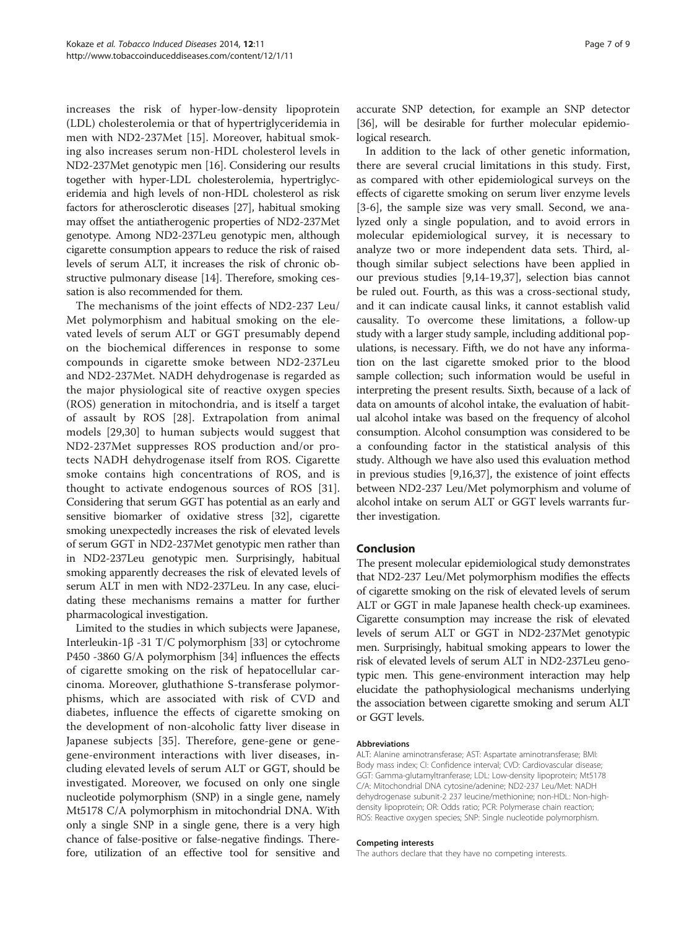increases the risk of hyper-low-density lipoprotein (LDL) cholesterolemia or that of hypertriglyceridemia in men with ND2-237Met [[15\]](#page-7-0). Moreover, habitual smoking also increases serum non-HDL cholesterol levels in ND2-237Met genotypic men [\[16](#page-7-0)]. Considering our results together with hyper-LDL cholesterolemia, hypertriglyceridemia and high levels of non-HDL cholesterol as risk factors for atherosclerotic diseases [[27](#page-7-0)], habitual smoking may offset the antiatherogenic properties of ND2-237Met genotype. Among ND2-237Leu genotypic men, although cigarette consumption appears to reduce the risk of raised levels of serum ALT, it increases the risk of chronic obstructive pulmonary disease [[14](#page-7-0)]. Therefore, smoking cessation is also recommended for them.

The mechanisms of the joint effects of ND2-237 Leu/ Met polymorphism and habitual smoking on the elevated levels of serum ALT or GGT presumably depend on the biochemical differences in response to some compounds in cigarette smoke between ND2-237Leu and ND2-237Met. NADH dehydrogenase is regarded as the major physiological site of reactive oxygen species (ROS) generation in mitochondria, and is itself a target of assault by ROS [[28\]](#page-7-0). Extrapolation from animal models [\[29](#page-7-0),[30\]](#page-7-0) to human subjects would suggest that ND2-237Met suppresses ROS production and/or protects NADH dehydrogenase itself from ROS. Cigarette smoke contains high concentrations of ROS, and is thought to activate endogenous sources of ROS [\[31](#page-7-0)]. Considering that serum GGT has potential as an early and sensitive biomarker of oxidative stress [[32](#page-8-0)], cigarette smoking unexpectedly increases the risk of elevated levels of serum GGT in ND2-237Met genotypic men rather than in ND2-237Leu genotypic men. Surprisingly, habitual smoking apparently decreases the risk of elevated levels of serum ALT in men with ND2-237Leu. In any case, elucidating these mechanisms remains a matter for further pharmacological investigation.

Limited to the studies in which subjects were Japanese, Interleukin-1β -31 T/C polymorphism [\[33\]](#page-8-0) or cytochrome P450 -3860 G/A polymorphism [\[34\]](#page-8-0) influences the effects of cigarette smoking on the risk of hepatocellular carcinoma. Moreover, gluthathione S-transferase polymorphisms, which are associated with risk of CVD and diabetes, influence the effects of cigarette smoking on the development of non-alcoholic fatty liver disease in Japanese subjects [[35\]](#page-8-0). Therefore, gene-gene or genegene-environment interactions with liver diseases, including elevated levels of serum ALT or GGT, should be investigated. Moreover, we focused on only one single nucleotide polymorphism (SNP) in a single gene, namely Mt5178 C/A polymorphism in mitochondrial DNA. With only a single SNP in a single gene, there is a very high chance of false-positive or false-negative findings. Therefore, utilization of an effective tool for sensitive and

accurate SNP detection, for example an SNP detector [[36](#page-8-0)], will be desirable for further molecular epidemiological research.

In addition to the lack of other genetic information, there are several crucial limitations in this study. First, as compared with other epidemiological surveys on the effects of cigarette smoking on serum liver enzyme levels [[3-6](#page-7-0)], the sample size was very small. Second, we analyzed only a single population, and to avoid errors in molecular epidemiological survey, it is necessary to analyze two or more independent data sets. Third, although similar subject selections have been applied in our previous studies [\[9,14-19](#page-7-0)[,37](#page-8-0)], selection bias cannot be ruled out. Fourth, as this was a cross-sectional study, and it can indicate causal links, it cannot establish valid causality. To overcome these limitations, a follow-up study with a larger study sample, including additional populations, is necessary. Fifth, we do not have any information on the last cigarette smoked prior to the blood sample collection; such information would be useful in interpreting the present results. Sixth, because of a lack of data on amounts of alcohol intake, the evaluation of habitual alcohol intake was based on the frequency of alcohol consumption. Alcohol consumption was considered to be a confounding factor in the statistical analysis of this study. Although we have also used this evaluation method in previous studies [\[9,16,](#page-7-0)[37\]](#page-8-0), the existence of joint effects between ND2-237 Leu/Met polymorphism and volume of alcohol intake on serum ALT or GGT levels warrants further investigation.

## Conclusion

The present molecular epidemiological study demonstrates that ND2-237 Leu/Met polymorphism modifies the effects of cigarette smoking on the risk of elevated levels of serum ALT or GGT in male Japanese health check-up examinees. Cigarette consumption may increase the risk of elevated levels of serum ALT or GGT in ND2-237Met genotypic men. Surprisingly, habitual smoking appears to lower the risk of elevated levels of serum ALT in ND2-237Leu genotypic men. This gene-environment interaction may help elucidate the pathophysiological mechanisms underlying the association between cigarette smoking and serum ALT or GGT levels.

#### Abbreviations

ALT: Alanine aminotransferase; AST: Aspartate aminotransferase; BMI: Body mass index; CI: Confidence interval; CVD: Cardiovascular disease; GGT: Gamma-glutamyltranferase; LDL: Low-density lipoprotein; Mt5178 C/A: Mitochondrial DNA cytosine/adenine; ND2-237 Leu/Met: NADH dehydrogenase subunit-2 237 leucine/methionine; non-HDL: Non-highdensity lipoprotein; OR: Odds ratio; PCR: Polymerase chain reaction; ROS: Reactive oxygen species; SNP: Single nucleotide polymorphism.

#### Competing interests

The authors declare that they have no competing interests.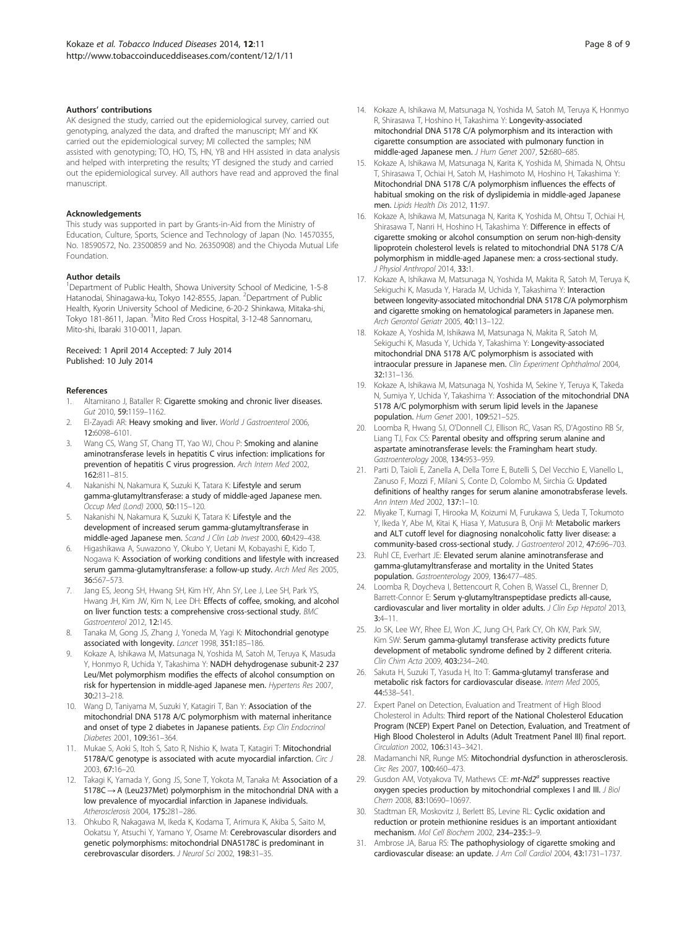#### <span id="page-7-0"></span>Authors' contributions

AK designed the study, carried out the epidemiological survey, carried out genotyping, analyzed the data, and drafted the manuscript; MY and KK carried out the epidemiological survey; MI collected the samples; NM assisted with genotyping; TO, HO, TS, HN, YB and HH assisted in data analysis and helped with interpreting the results; YT designed the study and carried out the epidemiological survey. All authors have read and approved the final manuscript.

#### Acknowledgements

This study was supported in part by Grants-in-Aid from the Ministry of Education, Culture, Sports, Science and Technology of Japan (No. 14570355, No. 18590572, No. 23500859 and No. 26350908) and the Chiyoda Mutual Life Foundation.

#### Author details

<sup>1</sup>Department of Public Health, Showa University School of Medicine, 1-5-8 Hatanodai, Shinagawa-ku, Tokyo 142-8555, Japan. <sup>2</sup>Department of Public Health, Kyorin University School of Medicine, 6-20-2 Shinkawa, Mitaka-shi, Tokyo 181-8611, Japan. <sup>3</sup>Mito Red Cross Hospital, 3-12-48 Sannomaru, Mito-shi, Ibaraki 310-0011, Japan.

#### Received: 1 April 2014 Accepted: 7 July 2014 Published: 10 July 2014

#### References

- Altamirano J, Bataller R: Cigarette smoking and chronic liver diseases. Gut 2010, 59:1159–1162.
- 2. El-Zayadi AR: Heavy smoking and liver. World J Gastroenterol 2006, 12:6098–6101.
- 3. Wang CS, Wang ST, Chang TT, Yao WJ, Chou P: Smoking and alanine aminotransferase levels in hepatitis C virus infection: implications for prevention of hepatitis C virus progression. Arch Intern Med 2002, 162:811–815.
- 4. Nakanishi N, Nakamura K, Suzuki K, Tatara K: Lifestyle and serum gamma-glutamyltransferase: a study of middle-aged Japanese men. Occup Med (Lond) 2000, 50:115–120.
- Nakanishi N, Nakamura K, Suzuki K, Tatara K: Lifestyle and the development of increased serum gamma-glutamyltransferase in middle-aged Japanese men. Scand J Clin Lab Invest 2000, 60:429–438.
- 6. Higashikawa A, Suwazono Y, Okubo Y, Uetani M, Kobayashi E, Kido T, Nogawa K: Association of working conditions and lifestyle with increased serum gamma-glutamyltransferase: a follow-up study. Arch Med Res 2005, 36:567–573.
- Jang ES, Jeong SH, Hwang SH, Kim HY, Ahn SY, Lee J, Lee SH, Park YS, Hwang JH, Kim JW, Kim N, Lee DH: Effects of coffee, smoking, and alcohol on liver function tests: a comprehensive cross-sectional study. BMC Gastroenterol 2012, 12:145.
- 8. Tanaka M, Gong JS, Zhang J, Yoneda M, Yagi K: Mitochondrial genotype associated with longevity. Lancet 1998, 351:185–186.
- 9. Kokaze A, Ishikawa M, Matsunaga N, Yoshida M, Satoh M, Teruya K, Masuda Y, Honmyo R, Uchida Y, Takashima Y: NADH dehydrogenase subunit-2 237 Leu/Met polymorphism modifies the effects of alcohol consumption on risk for hypertension in middle-aged Japanese men. Hypertens Res 2007, 30:213–218.
- 10. Wang D, Taniyama M, Suzuki Y, Katagiri T, Ban Y: Association of the mitochondrial DNA 5178 A/C polymorphism with maternal inheritance and onset of type 2 diabetes in Japanese patients. Exp Clin Endocrinol Diabetes 2001, 109:361–364.
- 11. Mukae S, Aoki S, Itoh S, Sato R, Nishio K, Iwata T, Katagiri T: Mitochondrial 5178A/C genotype is associated with acute myocardial infarction. Circ J 2003, 67:16–20.
- 12. Takagi K, Yamada Y, Gong JS, Sone T, Yokota M, Tanaka M: Association of a 5178C → A (Leu237Met) polymorphism in the mitochondrial DNA with a low prevalence of myocardial infarction in Japanese individuals. Atherosclerosis 2004, 175:281–286.
- 13. Ohkubo R, Nakagawa M, Ikeda K, Kodama T, Arimura K, Akiba S, Saito M, Ookatsu Y, Atsuchi Y, Yamano Y, Osame M: Cerebrovascular disorders and genetic polymorphisms: mitochondrial DNA5178C is predominant in cerebrovascular disorders. J Neurol Sci 2002, 198:31–35.
- 14. Kokaze A, Ishikawa M, Matsunaga N, Yoshida M, Satoh M, Teruya K, Honmyo R, Shirasawa T, Hoshino H, Takashima Y: Longevity-associated mitochondrial DNA 5178 C/A polymorphism and its interaction with cigarette consumption are associated with pulmonary function in middle-aged Japanese men. J Hum Genet 2007, 52:680–685.
- 15. Kokaze A, Ishikawa M, Matsunaga N, Karita K, Yoshida M, Shimada N, Ohtsu T, Shirasawa T, Ochiai H, Satoh M, Hashimoto M, Hoshino H, Takashima Y: Mitochondrial DNA 5178 C/A polymorphism influences the effects of habitual smoking on the risk of dyslipidemia in middle-aged Japanese men. Lipids Health Dis 2012, 11:97.
- 16. Kokaze A, Ishikawa M, Matsunaga N, Karita K, Yoshida M, Ohtsu T, Ochiai H, Shirasawa T, Nanri H, Hoshino H, Takashima Y: Difference in effects of cigarette smoking or alcohol consumption on serum non-high-density lipoprotein cholesterol levels is related to mitochondrial DNA 5178 C/A polymorphism in middle-aged Japanese men: a cross-sectional study. J Physiol Anthropol 2014, 33:1.
- 17. Kokaze A, Ishikawa M, Matsunaga N, Yoshida M, Makita R, Satoh M, Teruya K, Sekiguchi K, Masuda Y, Harada M, Uchida Y, Takashima Y: Interaction between longevity-associated mitochondrial DNA 5178 C/A polymorphism and cigarette smoking on hematological parameters in Japanese men. Arch Gerontol Geriatr 2005, 40:113–122.
- 18. Kokaze A, Yoshida M, Ishikawa M, Matsunaga N, Makita R, Satoh M, Sekiguchi K, Masuda Y, Uchida Y, Takashima Y: Longevity-associated mitochondrial DNA 5178 A/C polymorphism is associated with intraocular pressure in Japanese men. Clin Experiment Ophthalmol 2004, 32:131–136.
- 19. Kokaze A, Ishikawa M, Matsunaga N, Yoshida M, Sekine Y, Teruya K, Takeda N, Sumiya Y, Uchida Y, Takashima Y: Association of the mitochondrial DNA 5178 A/C polymorphism with serum lipid levels in the Japanese population. Hum Genet 2001, 109:521–525.
- 20. Loomba R, Hwang SJ, O'Donnell CJ, Ellison RC, Vasan RS, D'Agostino RB Sr, Liang TJ, Fox CS: Parental obesity and offspring serum alanine and aspartate aminotransferase levels: the Framingham heart study. Gastroenterology 2008, 134:953–959.
- 21. Parti D, Taioli E, Zanella A, Della Torre E, Butelli S, Del Vecchio E, Vianello L, Zanuso F, Mozzi F, Milani S, Conte D, Colombo M, Sirchia G: Updated definitions of healthy ranges for serum alanine amonotrabsferase levels. Ann Intern Med 2002, 137:1–10.
- 22. Miyake T, Kumagi T, Hirooka M, Koizumi M, Furukawa S, Ueda T, Tokumoto Y, Ikeda Y, Abe M, Kitai K, Hiasa Y, Matusura B, Onji M: Metabolic markers and ALT cutoff level for diagnosing nonalcoholic fatty liver disease: a community-based cross-sectional study. J Gastroenterol 2012, 47:696–703.
- 23. Ruhl CE, Everhart JE: Elevated serum alanine aminotransferase and gamma-glutamyltransferase and mortality in the United States population. Gastroenterology 2009, 136:477–485.
- 24. Loomba R, Doycheva I, Bettencourt R, Cohen B, Wassel CL, Brenner D, Barrett-Connor E: Serum γ-glutamyltranspeptidase predicts all-cause, cardiovascular and liver mortality in older adults. J Clin Exp Hepatol 2013, 3:4–11.
- 25. Jo SK, Lee WY, Rhee EJ, Won JC, Jung CH, Park CY, Oh KW, Park SW, Kim SW: Serum gamma-glutamyl transferase activity predicts future development of metabolic syndrome defined by 2 different criteria. Clin Chim Acta 2009, 403:234–240.
- 26. Sakuta H, Suzuki T, Yasuda H, Ito T: Gamma-glutamyl transferase and metabolic risk factors for cardiovascular disease. Intern Med 2005, 44:538–541.
- 27. Expert Panel on Detection, Evaluation and Treatment of High Blood Cholesterol in Adults: Third report of the National Cholesterol Education Program (NCEP) Expert Panel on Detection, Evaluation, and Treatment of High Blood Cholesterol in Adults (Adult Treatment Panel III) final report. Circulation 2002, 106:3143–3421.
- 28. Madamanchi NR, Runge MS: Mitochondrial dysfunction in atherosclerosis. Circ Res 2007, 100:460–473.
- 29. Gusdon AM, Votyakova TV, Mathews CE: mt-Nd2<sup>a</sup> suppresses reactive oxygen species production by mitochondrial complexes I and III. J Biol Chem 2008, 83:10690–10697.
- 30. Stadtman ER, Moskovitz J, Berlett BS, Levine RL: Cyclic oxidation and reduction or protein methionine residues is an important antioxidant mechanism. Mol Cell Biochem 2002, 234–235:3–9.
- 31. Ambrose JA, Barua RS: The pathophysiology of cigarette smoking and cardiovascular disease: an update. J Am Coll Cardiol 2004, 43:1731–1737.